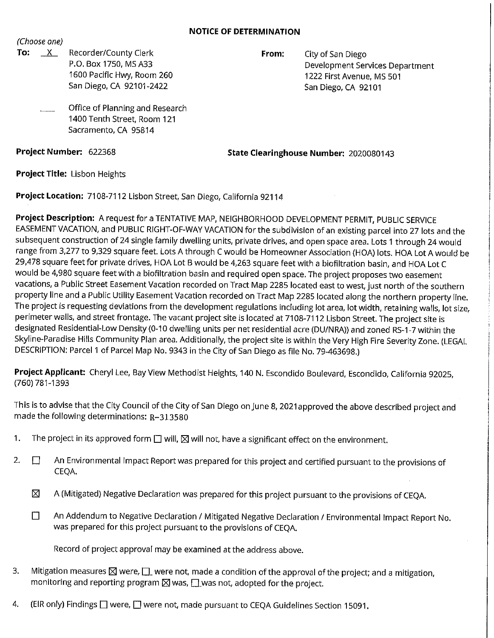## **NOTICE OF DETERMINATION**

(Choose one)

To: X Recorder/County Clerk P.O. Box 1750, MS A33 1600 Pacific Hwy, Room 260 San Diego, CA 92101-2422

**From:** City of San Diego Development Services Department 1222 First Avenue, MS 501 San Diego, CA 92101

Office of Planning and Research 1400 Tenth Street, Room 121 Sacramento, CA 95814

**Project Number:** 622368

**State Clearinghouse Number:** 2020080143

**Project Title:** Lisbon Heights

**Project Location:** 7108-7112 Lisbon Street, San Diego, California 92114

**Project Description:** A request for a TENTATIVE MAP, NEIGHBORHOOD DEVELOPMENT PERMIT, PUBLIC SERVICE EASEMENT VACATION, and PUBLIC RIGHT-OF-WAY VACATION for the subdivision of an existing parcel into 27 lots and the subsequent construction of 24 single family dwelling units, private drives, and open space area. Lots 1 through 24 would range from 3,277 to 9,329 square feet. Lots A through C would be Homeowner Association (HOA) lots. HOA Lot A would be 29,478 square feet for private drives, HOA Lot B would be 4,263 square feet with a biofiltration basin, and HOA Lot C would be 4,980 square feet with a biofiltration basin and required open space. The project proposes two easement vacations, a Public Street Easement Vacation recorded on Tract Map 2285 located east to west, just north of the southern property line and a Public Utility Easement Vacation recorded on Tract Map 2285 located along the northern property line. The project is requesting deviations from the development regulations including lot area, lot width, retaining walls, lot size, perimeter walls, and street frontage. The vacant project site is located at 7108-7112 Lisbon Street. The project site is designated Residential-Low Density (0-10 dwelling units per net residential acre (DU/NRA)) and zoned RS-1-7 within the Skyline-Paradise Hills Community Plan area. Additionally, the project site is within the Very High Fire Severity Zone. (LEGAL DESCRIPTION: Parcel 1 of Parcel Map No. 9343 in the City of San Diego as file No. 79-463698.)

**Project Applicant:** Cheryl Lee, Bay View Methodist Heights, 140 N. Escondido Boulevard, Escondido, California 92025, (760) 781-1393

This is to advise that the City Council of the City of San Diego on June 8, 2021 approved the above described project and made the following determinations: R-313580

- 1. The project in its approved form  $\square$  will,  $\square$  will not, have a significant effect on the environment.
- 2.  $\square$  An Environmental Impact Report was prepared for this project and certified pursuant to the provisions of CEQA.
	- $\boxtimes$  A (Mitigated) Negative Declaration was prepared for this project pursuant to the provisions of CEQA.
	- □ An Addendum to Negative Declaration / Mitigated Negative Declaration / Environmental Impact Report No. was prepared for this project pursuant to the provisions of CEQA.

Record of project approval may be examined at the address above.

- 3. Mitigation measures  $\boxtimes$  were,  $\Box$  were not, made a condition of the approval of the project; and a mitigation, monitoring and reporting program  $\times$  was,  $\Box$  was not, adopted for the project.
- 4. (EIR only) Findings  $\square$  were,  $\square$  were not, made pursuant to CEQA Guidelines Section 15091.